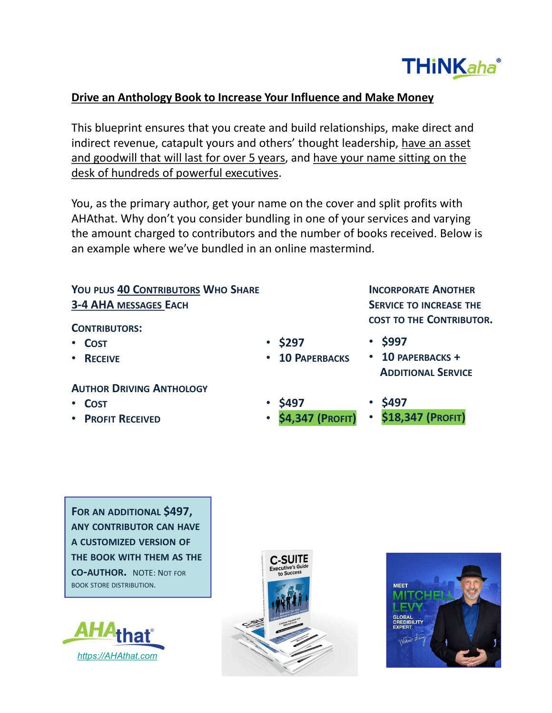## Drive an Anthology Book to Increase Your Influence and Make Money

This blueprint ensures that you create and build relationships, make direct and indirect revenue, catapult yours and others' thought leadership, have an asset and goodwill that will last for over 5 years, and have your name sitting on the desk of hundreds of powerful executives. **Drive an Anthology Book to Increase Your Influence and Make Mon**<br>This blueprint ensures that you create and build relationships, make<br>indirect revenue, catapult yours and others' thought leadership, have<br>and goodwill that

You, as the primary author, get your name on the cover and split profits with AHAthat. Why don't you consider bundling in one of your services and varying the amount charged to contributors and the number of books received. Below is an example where we've bundled in an online mastermind. Make Money<br>
Make Money<br>
Inps, make direct and<br>
Incorporating on the<br>
d split profits with<br>
services and varying<br>
Jooks received. Below is<br>
1.<br>
INCORPORATE ANOTHER<br>
SERVICE TO INCREASE THE<br>
COST TO THE CONTRIBUTOR.<br>
• \$997<br> Vour Influence and Make Money<br>
and build relationships, make direct and<br>
thers' thought leadership, <u>have an asset</u><br>
ears, and have your name sitting on the<br>
<u>res</u>.<br>
ame on the cover and split profits with<br>
dling in one of

# 3-4 AHA MESSAGES EACH SERVICE TO INCREASE THE

#### CONTRIBUTORS:

- COST
- RECEIVE

### AUTHOR DRIVING ANTHOLOGY

- COST
- PROFIT RECEIVED
- 
- 
- \$997

INCORPORATE ANOTHER

- 10 PAPERBACKS 10 PAPERBACKS + ADDITIONAL SERVICE
- 
- \$497 \$497
	- \$18,347 (PROFIT) **\$4,347 (PROFIT)**

YOU PLUS 40 CONTRIBUTORS WHO SHARE<br>
3-4 AHA MESSAGES EACH<br>
CONTRIBUTORS:<br>
COST<br>
COST<br>
• COST<br>
• RECEIVE<br>
• ADDI<br>
AUTHOR DRIVING ANTHOLOGY<br>
• COST<br>
• PROFIT RECEIVED<br>
• SAJ97<br>
• SAJ97<br>
• SAJ97<br>
• SAJ97<br>
• SAJ97<br>
• SAJ97<br>
• 3-4 AHA MESSAGES EACH<br>
CONTRIBUTORS:<br>
• COST<br>
• RECEIVE<br>
• RECEIVE<br>
• AUTHOR DRIVING ANTHOLOGY<br>
• COST<br>
• RECEIVE<br>
• COST<br>
• COST<br>
• COST<br>
• COST<br>
• COST<br>
• COST<br>
• COST<br>
• COST<br>
• COST<br>
• COST<br>
• COST<br>
• COST<br>
• COST<br>
• COST TO THE CONTRIBUTE<br>
• COST • \$297 • \$997<br>
• RECEIVE • 10 PAPERBACKS • ADDITIONAL SERVICE<br>
AUTHOR DRIVING ANTHOLOGY<br>
• COST • \$497 • \$497<br>
• PROFIT RECEIVED • \$4,347 (PROFIT) • \$18,347 (PROFIT)<br>
• PROFIT RECEIVED • \$4,3





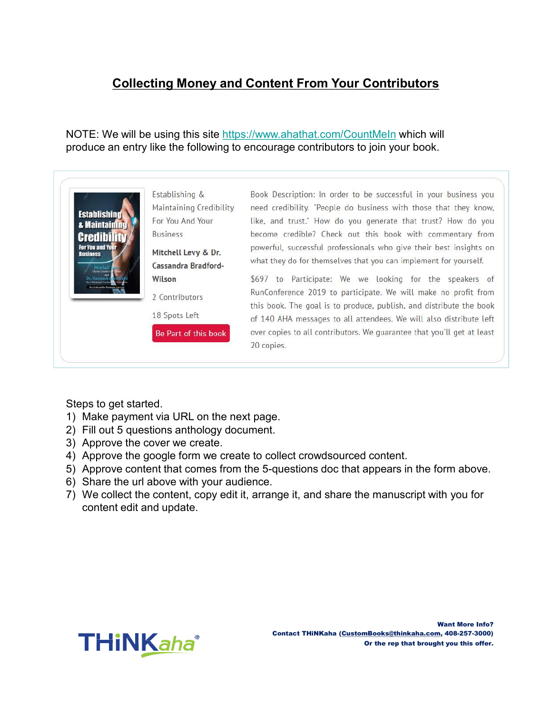# Collecting Money and Content From Your Contributors

NOTE: We will be using this site https://www.ahathat.com/CountMeIn which will produce an entry like the following to encourage contributors to join your book.



Steps to get started.

- 
- 
- 
- 
- 
- 
- content edit and update.